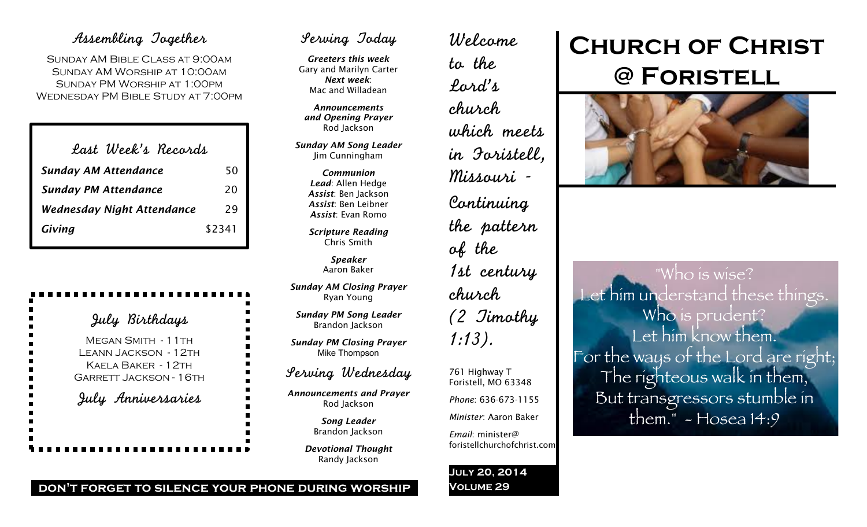## Assembling Together

Sunday AM Bible Class at 9:00am Sunday AM Worship at 10:00am Sunday PM Worship at 1:00pm Wednesday PM Bible Study at 7:00pm

| Last Week's Records |
|---------------------|
| 50                  |
| 20                  |
| 29                  |
| \$2341              |
|                     |

# July Birthdays

MEGAN SMITH - 11TH Leann Jackson - 12th Kaela Baker - 12th Garrett Jackson - 16th July Anniversaries

## Serving Today

*Greeters this week* Gary and Marilyn Carter *Next week*: Mac and Willadean

*Announcements and Opening Prayer* Rod Jackson

*Sunday AM Song Leader* Jim Cunningham

> *Communion Lead*: Allen Hedge *Assist*: Ben Jackson *Assist*: Ben Leibner *Assist*: Evan Romo

*Scripture Reading* Chris Smith

> *Speaker* Aaron Baker

*Sunday AM Closing Prayer* Ryan Young

*Sunday PM Song Leader* Brandon Jackson

*Sunday PM Closing Prayer* Mike Thompson

## Serving Wednesday

*Announcements and Prayer* Rod Jackson

> *Song Leader* Brandon Jackson

*Devotional Thought* Randy Jackson

Welcome to the Lord's church which meets in Foristell, Missouri - Continuing the pattern of the 1st century church (2 Timothy 1:13). 761 Highway T Foristell, MO 63348

*Phone*: 636-673-1155

*Minister*: Aaron Baker

foristellchurchofchrist.com

*Email*: minister@

**July 20, 2014 Volume 29**

# **Church of Christ @ Foristell**



"Who is wise? Let him understand these things. Who is prudent? Let him know them. For the ways of the Lord are right; The righteous walk in them, But transgressors stumble in them."  $-$  Hosea 14:9

**don't forget to silence your phone during worship**